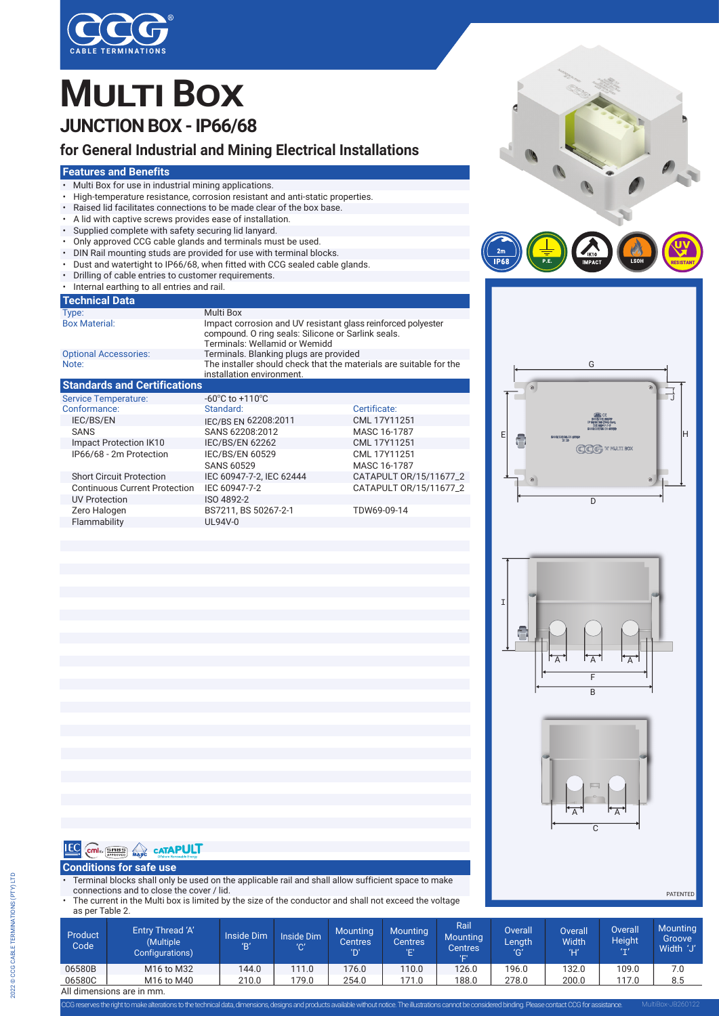

## **MULTI BOX JUNCTION BOX - IP66/68**

## **for General Industrial and Mining Electrical Installations**

### **Features and Benefits**

- Multi Box for use in industrial mining applications.
- High-temperature resistance, corrosion resistant and anti-static properties.
- Raised lid facilitates connections to be made clear of the box base.
- 
- A lid with captive screws provides ease of installation.<br>• Supplied complete with safety securing lid lanyard. Supplied complete with safety securing lid lanyard.
- Only approved CCG cable glands and terminals must be used.<br>• DIN Rail mounting studs are provided for use with terminal blo
- DIN Rail mounting studs are provided for use with terminal blocks.
- Dust and watertight to IP66/68, when fitted with CCG sealed cable glands.
- Drilling of cable entries to customer requirements.
- Internal earthing to all entries and rail.

#### **Technical Data**

| <b>TCOMMUT Dala</b>                 |                                                                                                                                                     |  |
|-------------------------------------|-----------------------------------------------------------------------------------------------------------------------------------------------------|--|
| Type:                               | Multi Box                                                                                                                                           |  |
| <b>Box Material:</b>                | Impact corrosion and UV resistant glass reinforced polyester<br>compound. O ring seals: Silicone or Sarlink seals.<br>Terminals: Wellamid or Wemidd |  |
| <b>Optional Accessories:</b>        | Terminals. Blanking plugs are provided                                                                                                              |  |
| Note:                               | The installer should check that the materials are suitable for the<br>installation environment.                                                     |  |
| <b>Standards and Certifications</b> |                                                                                                                                                     |  |

| <b>Service Temperature:</b>          | -60 $\mathrm{^{\circ}C}$ to +110 $\mathrm{^{\circ}C}$ |                        |
|--------------------------------------|-------------------------------------------------------|------------------------|
| Conformance:                         | Standard:                                             | Certificate:           |
| <b>IEC/BS/EN</b>                     | IEC/BS EN 62208:2011                                  | CML 17Y11251           |
| <b>SANS</b>                          | SANS 62208:2012                                       | MASC 16-1787           |
| Impact Protection IK10               | <b>IEC/BS/EN 62262</b>                                | CML 17Y11251           |
| IP66/68 - 2m Protection              | <b>IEC/BS/EN 60529</b>                                | CML 17Y11251           |
|                                      | <b>SANS 60529</b>                                     | MASC 16-1787           |
| <b>Short Circuit Protection</b>      | IEC 60947-7-2, IEC 62444                              | CATAPULT 0R/15/11677_2 |
| <b>Continuous Current Protection</b> | IEC 60947-7-2                                         | CATAPULT 0R/15/11677_2 |
| <b>UV Protection</b>                 | ISO 4892-2                                            |                        |
| Zero Halogen                         | BS7211, BS 50267-2-1                                  | TDW69-09-14            |
| Flammability                         | UL94V-0                                               |                        |











**PATENTED** 

## **IEC** COMEX STRESS **CATAPULT**

### **Conditions for safe use**

• Terminal blocks shall only be used on the applicable rail and shall allow sufficient space to make connections and to close the cover / lid.

The current in the Multi box is limited by the size of the conductor and shall not exceed the voltage as per Table 2.

| Product<br>Code           | Entry Thread 'A'<br>(Multiple<br>Configurations) | <b>Inside Dim</b><br>B' | Inside Dim<br>'C' | <b>Mounting</b><br><b>Centres</b><br>'D' | <b>Mounting</b><br><b>Centres</b><br>יםי | Rail<br><b>Mounting</b><br>Centres<br>'E' | <b>Overall</b><br>Length<br>'G' | <b>Overall</b><br>Width<br>Ή | <b>Overall</b><br><b>Height</b><br>$(1 - 1)$ | <b>Mounting</b><br>Groove<br>Width 'J' |
|---------------------------|--------------------------------------------------|-------------------------|-------------------|------------------------------------------|------------------------------------------|-------------------------------------------|---------------------------------|------------------------------|----------------------------------------------|----------------------------------------|
| 06580B                    | M <sub>16</sub> to M <sub>32</sub>               | 144.0                   | 111.0             | 176.0                                    | 110.0                                    | 126.0                                     | 196.0                           | 132.0                        | 109.0                                        | 7.0                                    |
| 06580C                    | M16 to M40                                       | 210.0                   | 79.0              | 254.0                                    | 171.0                                    | 188.0                                     | 278.0                           | 200.0                        | 117.0                                        | 8.5                                    |
| All dimensions are in mm. |                                                  |                         |                   |                                          |                                          |                                           |                                 |                              |                                              |                                        |

CCG reserves the right to make alterations to the technical data, dimensions, designs and products available without notice. The illustrations cannot be considered binding. Please contact CCGfor assistance.